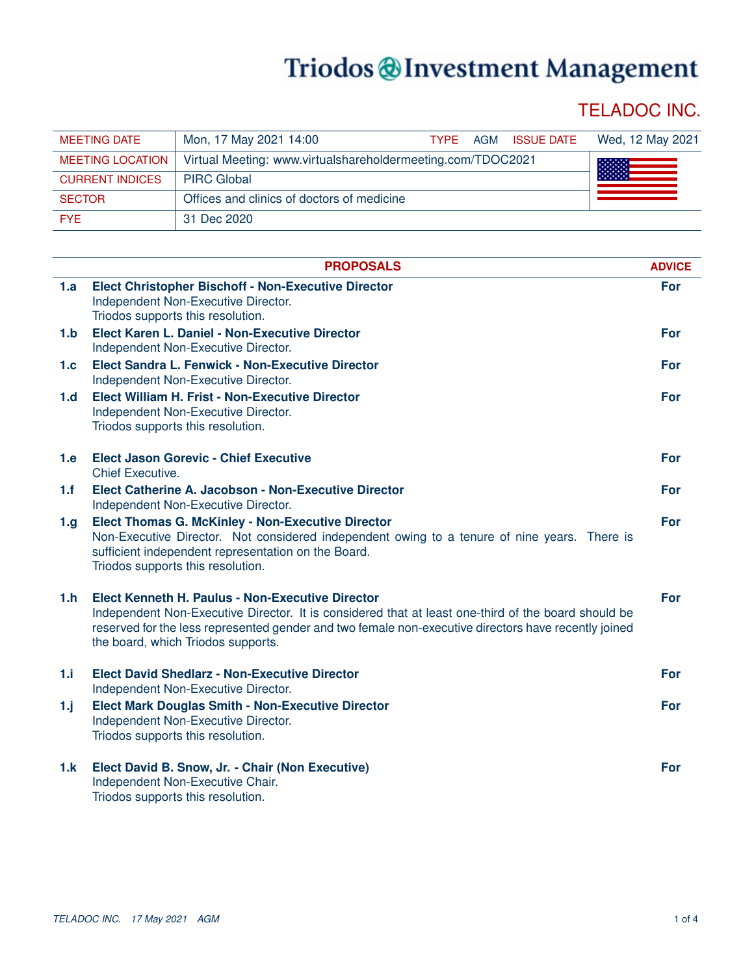# Triodos @Investment Management

# TELADOC INC.

| MEETING DATE            | Mon, 17 May 2021 14:00                                      | <b>TYPF</b>        | AGM | <b>ISSUE DATE</b> | Wed, 12 May 2021 |
|-------------------------|-------------------------------------------------------------|--------------------|-----|-------------------|------------------|
| <b>MEETING LOCATION</b> | Virtual Meeting: www.virtualshareholdermeeting.com/TDOC2021 | <b>DESCRIPTION</b> |     |                   |                  |
| <b>CURRENT INDICES</b>  | <b>PIRC Global</b>                                          |                    |     |                   |                  |
| <b>SECTOR</b>           | Offices and clinics of doctors of medicine                  |                    |     |                   |                  |
| <b>FYE</b>              | 31 Dec 2020                                                 |                    |     |                   |                  |

|                 | <b>PROPOSALS</b>                                                                                     | <b>ADVICE</b> |
|-----------------|------------------------------------------------------------------------------------------------------|---------------|
| 1.a             | <b>Elect Christopher Bischoff - Non-Executive Director</b>                                           | For           |
|                 | Independent Non-Executive Director.                                                                  |               |
|                 | Triodos supports this resolution.                                                                    |               |
| 1.b             | Elect Karen L. Daniel - Non-Executive Director                                                       | For           |
|                 | Independent Non-Executive Director.                                                                  |               |
| 1.c             | Elect Sandra L. Fenwick - Non-Executive Director                                                     | For           |
|                 | Independent Non-Executive Director.                                                                  |               |
| 1.d             | <b>Elect William H. Frist - Non-Executive Director</b><br>Independent Non-Executive Director.        | For           |
|                 | Triodos supports this resolution.                                                                    |               |
|                 |                                                                                                      |               |
| 1.e             | <b>Elect Jason Gorevic - Chief Executive</b>                                                         | For           |
|                 | <b>Chief Executive.</b>                                                                              |               |
| 1.f             | Elect Catherine A. Jacobson - Non-Executive Director                                                 | <b>For</b>    |
|                 | Independent Non-Executive Director.                                                                  |               |
| 1.g.            | <b>Elect Thomas G. McKinley - Non-Executive Director</b>                                             | For           |
|                 | Non-Executive Director. Not considered independent owing to a tenure of nine years. There is         |               |
|                 | sufficient independent representation on the Board.                                                  |               |
|                 | Triodos supports this resolution.                                                                    |               |
| 1.h             | <b>Elect Kenneth H. Paulus - Non-Executive Director</b>                                              | For           |
|                 | Independent Non-Executive Director. It is considered that at least one-third of the board should be  |               |
|                 | reserved for the less represented gender and two female non-executive directors have recently joined |               |
|                 | the board, which Triodos supports.                                                                   |               |
|                 |                                                                                                      |               |
| 1.1             | <b>Elect David Shedlarz - Non-Executive Director</b>                                                 | For           |
|                 | Independent Non-Executive Director.                                                                  |               |
| 1 <sub>ij</sub> | <b>Elect Mark Douglas Smith - Non-Executive Director</b>                                             | For           |
|                 | Independent Non-Executive Director.                                                                  |               |
|                 | Triodos supports this resolution.                                                                    |               |
| 1.k             | Elect David B. Snow, Jr. - Chair (Non Executive)                                                     | <b>For</b>    |
|                 | Independent Non-Executive Chair.                                                                     |               |
|                 | Triodos supports this resolution.                                                                    |               |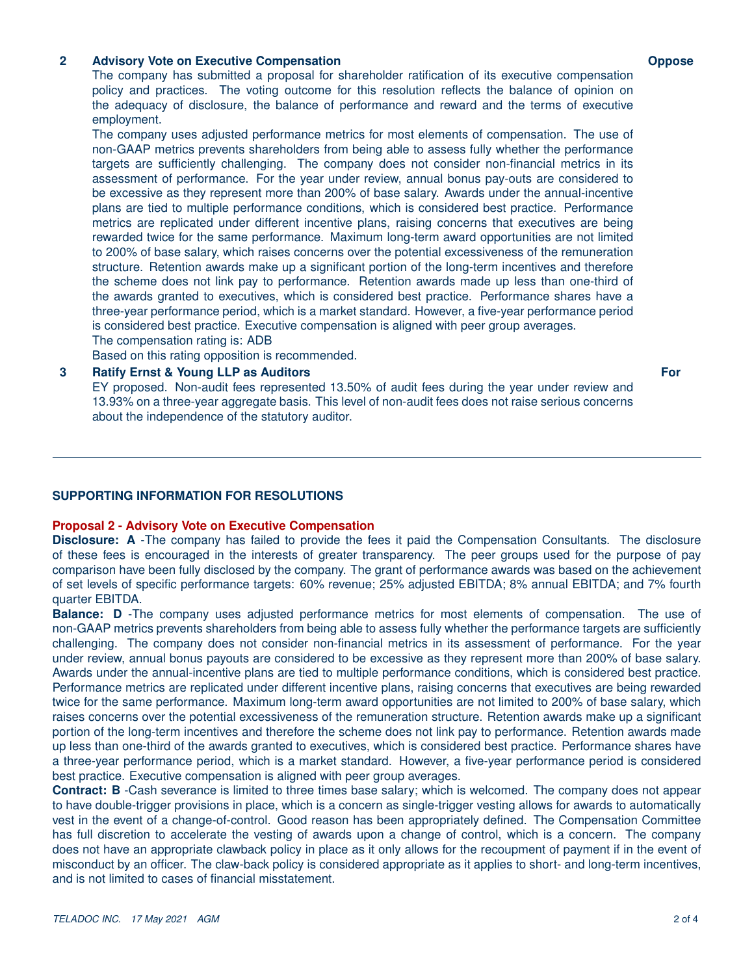# **2 Advisory Vote on Executive Compensation**

The company has submitted a proposal for shareholder ratification of its executive compensation policy and practices. The voting outcome for this resolution reflects the balance of opinion on the adequacy of disclosure, the balance of performance and reward and the terms of executive employment.

The company uses adjusted performance metrics for most elements of compensation. The use of non-GAAP metrics prevents shareholders from being able to assess fully whether the performance targets are sufficiently challenging. The company does not consider non-financial metrics in its assessment of performance. For the year under review, annual bonus pay-outs are considered to be excessive as they represent more than 200% of base salary. Awards under the annual-incentive plans are tied to multiple performance conditions, which is considered best practice. Performance metrics are replicated under different incentive plans, raising concerns that executives are being rewarded twice for the same performance. Maximum long-term award opportunities are not limited to 200% of base salary, which raises concerns over the potential excessiveness of the remuneration structure. Retention awards make up a significant portion of the long-term incentives and therefore the scheme does not link pay to performance. Retention awards made up less than one-third of the awards granted to executives, which is considered best practice. Performance shares have a three-year performance period, which is a market standard. However, a five-year performance period is considered best practice. Executive compensation is aligned with peer group averages. The compensation rating is: ADB

Based on this rating opposition is recommended.

# **3 Ratify Ernst & Young LLP as Auditors**

EY proposed. Non-audit fees represented 13.50% of audit fees during the year under review and 13.93% on a three-year aggregate basis. This level of non-audit fees does not raise serious concerns about the independence of the statutory auditor.

# **SUPPORTING INFORMATION FOR RESOLUTIONS**

#### **Proposal 2 - Advisory Vote on Executive Compensation**

**Disclosure: A** -The company has failed to provide the fees it paid the Compensation Consultants. The disclosure of these fees is encouraged in the interests of greater transparency. The peer groups used for the purpose of pay comparison have been fully disclosed by the company. The grant of performance awards was based on the achievement of set levels of specific performance targets: 60% revenue; 25% adjusted EBITDA; 8% annual EBITDA; and 7% fourth quarter EBITDA.

**Balance: D** -The company uses adjusted performance metrics for most elements of compensation. The use of non-GAAP metrics prevents shareholders from being able to assess fully whether the performance targets are sufficiently challenging. The company does not consider non-financial metrics in its assessment of performance. For the year under review, annual bonus payouts are considered to be excessive as they represent more than 200% of base salary. Awards under the annual-incentive plans are tied to multiple performance conditions, which is considered best practice. Performance metrics are replicated under different incentive plans, raising concerns that executives are being rewarded twice for the same performance. Maximum long-term award opportunities are not limited to 200% of base salary, which raises concerns over the potential excessiveness of the remuneration structure. Retention awards make up a significant portion of the long-term incentives and therefore the scheme does not link pay to performance. Retention awards made up less than one-third of the awards granted to executives, which is considered best practice. Performance shares have a three-year performance period, which is a market standard. However, a five-year performance period is considered best practice. Executive compensation is aligned with peer group averages.

**Contract: B** -Cash severance is limited to three times base salary; which is welcomed. The company does not appear to have double-trigger provisions in place, which is a concern as single-trigger vesting allows for awards to automatically vest in the event of a change-of-control. Good reason has been appropriately defined. The Compensation Committee has full discretion to accelerate the vesting of awards upon a change of control, which is a concern. The company does not have an appropriate clawback policy in place as it only allows for the recoupment of payment if in the event of misconduct by an officer. The claw-back policy is considered appropriate as it applies to short- and long-term incentives, and is not limited to cases of financial misstatement.